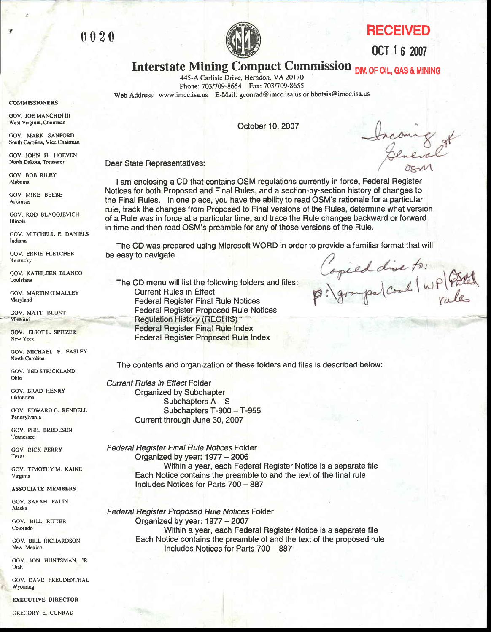



(lCT | 6 2007

# Interstate Mining Compact Commission DIV. OF OIL, GAS & MINING

445-A Carlisle Drive, Herndon, VA 20170 Phone: 703/709-8654 Fax: 703/709-8655 Web Address: www.imcc.isa.us E-Mail: gconrad@imcc.isa.us or bbotsis@imcc.isa.us

October 10, 2007

Dear State Representatives:

I am enclosing a CD that contains OSM regulations currently in force, Federal Register Notices for both Proposed and Final Rules, and a section-by-section history of changes to the Final Rules. In one place, you have the ability to read OSM's rationale for a particular rule, track the changes from Proposed to Final versions of the Rules, determine what version of a Rule was in force at a particular time, and trace the Rule changes backward or forward in time and then read OSM'S preamble for any of those versions of the Rule.

The CD was prepared using Microsoft WORD in order to provide a familiar format that will be easy to navigate. Capied dise to:<br>p: groups (coal / WP ) Patch

The CD menu will list the following folders and files: Current Rules in Effect Federal Register Final Rule Notices Federal Register Proposed Rule Notices Regulation History (REGHIS) Federal Register Final Rule Index Federal Register Proposed Rule lndex

The contents and organization of these folders and files is described below:

Current Rules in Effect Folder Organized by Subchapter Subchapters  $A - S$ Subchapters T-900 - T-955 Current through June 30, 2007

Federal Register Final Rule Notices Folder Organized by year:  $1977 - 2006$ Within a year, each Federal Register Notice is a separate file Each Notice contains the preamble to and the text of the final rule lncludes Notices tor Parts 700 - 887

Federal Register Proposed Rule Notices Folder Organized by year:  $1977 - 2007$ Within a year, each Federal Register Notice is a separate file Each Notice contains the preamble of and the text of the proposed rule Includes Notices for Parts 700 - 887

COMMISSIONERS

GOV. JOE MANCHIN III Wcst Virginia, Chairman

GOV. MARK SANFORD South Carolina, Vice Chairman

GOV. JOHN H. HOEVEN North Dakota, Treasurer

GOV. BOB RILEY Alabama

GOV. MIKE BEEBE Arkansas

COV. ROD BLAGOJEVICH l llinois

GOV. MITCHELL E. DANIELS lndiana

GOV. ERNIE FLETCHER **Kentucky** 

GOY. KATHLEEN BLANCO Louisiana

GOV. MARTIN O'MALLEY Maryland

GOV. MATT BLUNT Missouri

COV. ELIOTL. SPITZER Ncw York

GOV. MICHAEL F. EASLEY North Carolina

GOV. TED STRICKLAND Ohio

GOV. BRAD HENRY Oklahoma

GOV. EDWARDG. RENDELL Pennsylvania

GOV. PHIL BREDESEN Tennessee

GOV. RICK PERRY Texas

GOV. TIMOTHY M. KAINE Virginia

#### ASSOCIATE MEMBERS

GOV. SARAH PALIN Alaska GOV. BILL RITTER

Colorado

GOV. BILL RICHARDSON New Mexico

GOV JON HUNTSMAN. JR Utah

GOV. DAVE FREUDENTHAL Wyoming

**EXECUTIVE DIRECTOR** 

ncon<br>Dem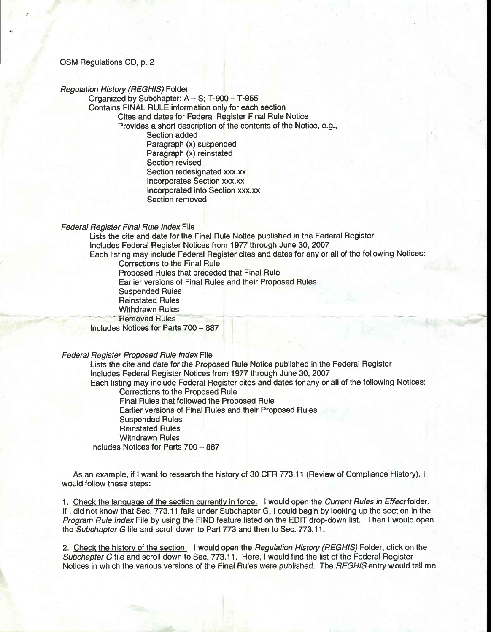# OSM Regulations CD, p. 2

### Regulation History (REGHIS) Folder

Organized by Subchapter: A - S; T-900 - T-955 Contains FINAL RULE information only for each section Cites and dates for Federal Register Final Rule Notice Provides a short description of the contents of the Notice, e.9., Section added Paragraph (x) suspended Paragraph (x) reinstated Section revised Section redesignated xxx.xx Incorporates Section xxx.xx lncorporated into Section xxx.xx Section removed

## Federal Register Final Rule lndex File

Lists the cite and date for the Final Rule Notice published in the Federal Register lncludes Federal Register Notices trom1'977 through June 30, 2007 Each listing may include Federal Register cites and dates for any or allof the following Notices: Corrections to the Final Rule Proposed Rules that preceded that Final Rule Earlier versions of Final Rules and their Proposed Rules Suspended Rules Reinstated Rules Withdrawn Rules<br>Removed Rules Includes Notices for Parts 700 - 887 Federal Hegister Proposed Rule Index File Lists the cite and date for the Proposed Rule Notice published in the Federal Register lncludes Federal Register Notices trom 1977 through June 30, 2007 Each listing may include Federal Register cites and dates for any or allof the following Notices:

Corrections to the Proposed Rule Final Rules that followed the Proposed Rule Earlier versions of Final Rules and their Proposed Rules Suspended Rules Reinstated Rules Withdrawn Rules Includes Notices for Parts 700 - 887

As an example, if I want to research the history of 30 CFR 773.11 (Review of Compliance History), I would follow these steps:

1. Check the language of the section currently in force. I would open the Current Rules in Effect folder. If I did not know that Sec. 773.11 falls under Subchapter G, I could begin by looking up the section in the Program Rule lndex File by using the FIND feature listed on the EDIT drop-down list. Then I would open the Subchapter G file and scroll down to Part 773 and then to Sec. 773.11.

2. Check the history of the section. I would open the Regulation History (REGHIS) Folder, click on the Subchapter G file and scroll down to Sec. 773.11. Here, I would find the list of the Federal Register Notices in which the various versions of the Final Rules were published. The REGHIS entry would tell me